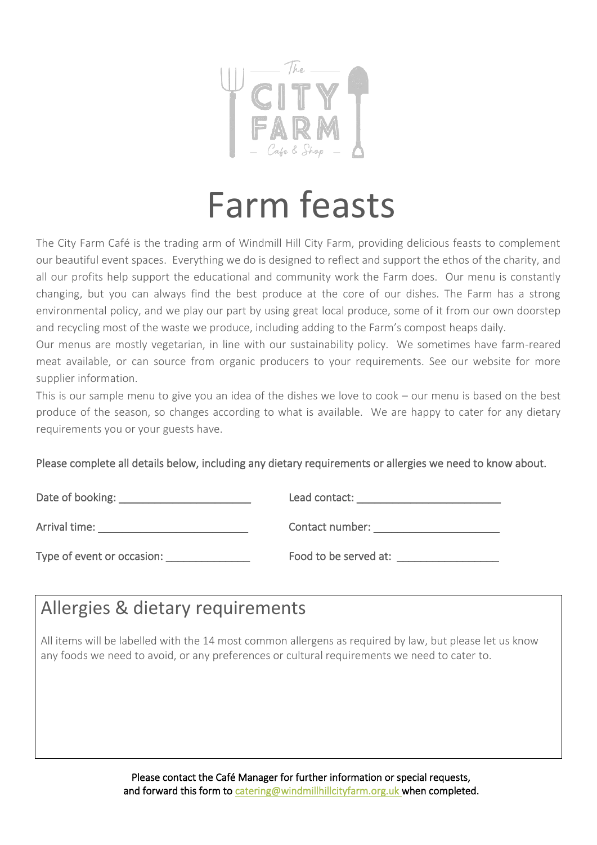

# Farm feasts

The City Farm Café is the trading arm of Windmill Hill City Farm, providing delicious feasts to complement our beautiful event spaces. Everything we do is designed to reflect and support the ethos of the charity, and all our profits help support the educational and community work the Farm does. Our menu is constantly changing, but you can always find the best produce at the core of our dishes. The Farm has a strong environmental policy, and we play our part by using great local produce, some of it from our own doorstep and recycling most of the waste we produce, including adding to the Farm's compost heaps daily.

Our menus are mostly vegetarian, in line with our sustainability policy. We sometimes have farm-reared meat available, or can source from organic producers to your requirements. See our website for more supplier information.

This is our sample menu to give you an idea of the dishes we love to cook – our menu is based on the best produce of the season, so changes according to what is available. We are happy to cater for any dietary requirements you or your guests have.

Please complete all details below, including any dietary requirements or allergies we need to know about.

| Date of booking:           | Lead contact:         |
|----------------------------|-----------------------|
| Arrival time:              | Contact number:       |
| Type of event or occasion: | Food to be served at: |

#### Allergies & dietary requirements

All items will be labelled with the 14 most common allergens as required by law, but please let us know any foods we need to avoid, or any preferences or cultural requirements we need to cater to.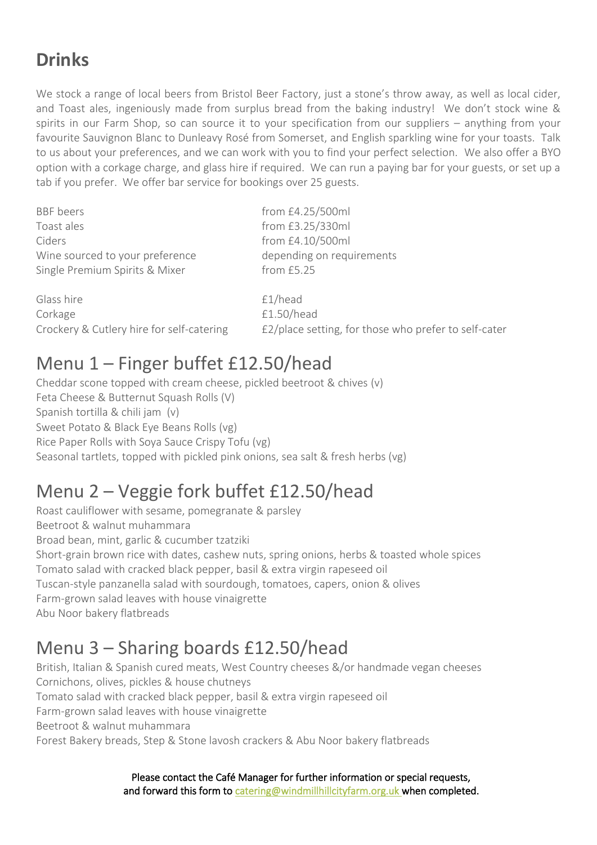#### **Drinks**

We stock a range of local beers from Bristol Beer Factory, just a stone's throw away, as well as local cider, and Toast ales, ingeniously made from surplus bread from the baking industry! We don't stock wine & spirits in our Farm Shop, so can source it to your specification from our suppliers – anything from your favourite Sauvignon Blanc to Dunleavy Rosé from Somerset, and English sparkling wine for your toasts. Talk to us about your preferences, and we can work with you to find your perfect selection. We also offer a BYO option with a corkage charge, and glass hire if required. We can run a paying bar for your guests, or set up a tab if you prefer. We offer bar service for bookings over 25 guests.

| <b>BBF</b> beers                          | from £4.25/500ml                                     |
|-------------------------------------------|------------------------------------------------------|
| Toast ales                                | from £3.25/330ml                                     |
| Ciders                                    | from £4.10/500ml                                     |
| Wine sourced to your preference           | depending on requirements                            |
| Single Premium Spirits & Mixer            | from £5.25                                           |
| Glass hire                                | f1/head                                              |
| Corkage                                   | £1.50/head                                           |
| Crockery & Cutlery hire for self-catering | £2/place setting, for those who prefer to self-cater |

#### Menu 1 – Finger buffet £12.50/head

Cheddar scone topped with cream cheese, pickled beetroot & chives (v) Feta Cheese & Butternut Squash Rolls (V) Spanish tortilla & chili jam (v) Sweet Potato & Black Eye Beans Rolls (vg) Rice Paper Rolls with Soya Sauce Crispy Tofu (vg) Seasonal tartlets, topped with pickled pink onions, sea salt & fresh herbs (vg)

## Menu 2 – Veggie fork buffet £12.50/head

Roast cauliflower with sesame, pomegranate & parsley Beetroot & walnut muhammara Broad bean, mint, garlic & cucumber tzatziki Short-grain brown rice with dates, cashew nuts, spring onions, herbs & toasted whole spices Tomato salad with cracked black pepper, basil & extra virgin rapeseed oil Tuscan-style panzanella salad with sourdough, tomatoes, capers, onion & olives Farm-grown salad leaves with house vinaigrette Abu Noor bakery flatbreads

## Menu 3 – Sharing boards £12.50/head

British, Italian & Spanish cured meats, West Country cheeses &/or handmade vegan cheeses Cornichons, olives, pickles & house chutneys Tomato salad with cracked black pepper, basil & extra virgin rapeseed oil Farm-grown salad leaves with house vinaigrette Beetroot & walnut muhammara Forest Bakery breads, Step & Stone lavosh crackers & Abu Noor bakery flatbreads